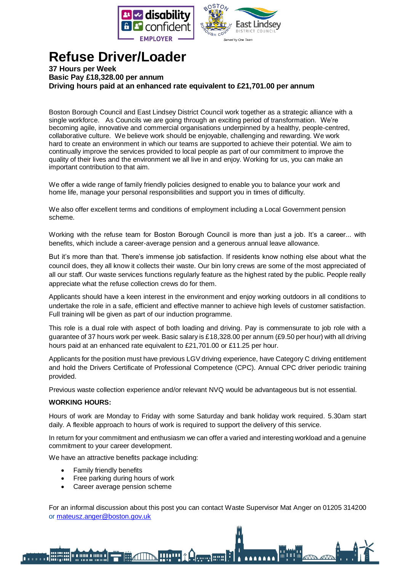



## **Refuse Driver/Loader**

**37 Hours per Week Basic Pay £18,328.00 per annum Driving hours paid at an enhanced rate equivalent to £21,701.00 per annum**

Boston Borough Council and East Lindsey District Council work together as a strategic alliance with a single workforce. As Councils we are going through an exciting period of transformation. We're becoming agile, innovative and commercial organisations underpinned by a healthy, people-centred, collaborative culture. We believe work should be enjoyable, challenging and rewarding. We work hard to create an environment in which our teams are supported to achieve their potential. We aim to continually improve the services provided to local people as part of our commitment to improve the quality of their lives and the environment we all live in and enjoy. Working for us, you can make an important contribution to that aim.

We offer a wide range of family friendly policies designed to enable you to balance your work and home life, manage your personal responsibilities and support you in times of difficulty.

We also offer excellent terms and conditions of employment including a Local Government pension scheme.

Working with the refuse team for Boston Borough Council is more than just a job. It's a career... with benefits, which include a career-average pension and a generous annual leave allowance.

But it's more than that. There's immense job satisfaction. If residents know nothing else about what the council does, they all know it collects their waste. Our bin lorry crews are some of the most appreciated of all our staff. Our waste services functions regularly feature as the highest rated by the public. People really appreciate what the refuse collection crews do for them.

Applicants should have a keen interest in the environment and enjoy working outdoors in all conditions to undertake the role in a safe, efficient and effective manner to achieve high levels of customer satisfaction. Full training will be given as part of our induction programme.

This role is a dual role with aspect of both loading and driving. Pay is commensurate to job role with a guarantee of 37 hours work per week. Basic salary is £18,328.00 per annum (£9.50 per hour) with all driving hours paid at an enhanced rate equivalent to £21,701.00 or £11.25 per hour.

Applicants for the position must have previous LGV driving experience, have Category C driving entitlement and hold the Drivers Certificate of Professional Competence (CPC). Annual CPC driver periodic training provided.

Previous waste collection experience and/or relevant NVQ would be advantageous but is not essential.

## **WORKING HOURS:**

Hours of work are Monday to Friday with some Saturday and bank holiday work required. 5.30am start daily. A flexible approach to hours of work is required to support the delivery of this service.

In return for your commitment and enthusiasm we can offer a varied and interesting workload and a genuine commitment to your career development.

We have an attractive benefits package including:

Family friendly benefits

- Free parking during hours of work
- Career average pension scheme

For an informal discussion about this post you can contact Waste Supervisor Mat Anger on 01205 314200 or [mateusz.anger@boston.gov.uk](mailto:mateusz.anger@boston.gov.uk)

**HIP RACTES**